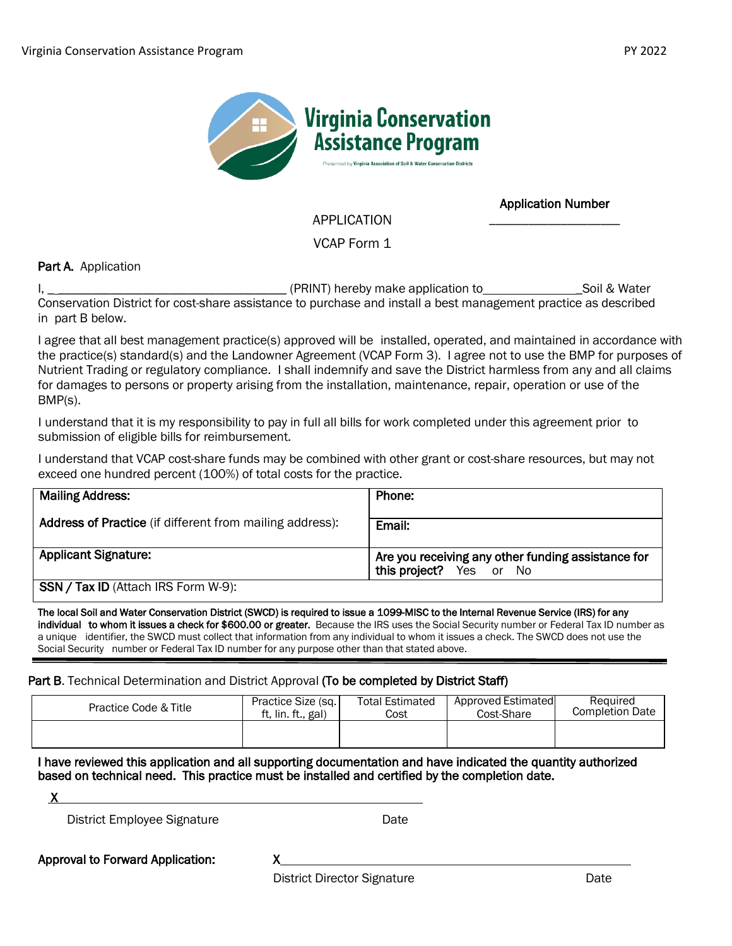

Application Number \_\_\_\_\_\_\_\_\_\_\_\_\_\_\_\_\_\_\_\_

APPLICATION

VCAP Form 1

Part A. Application

I, \_ \_\_\_\_\_\_\_\_\_\_\_\_\_\_\_\_\_\_\_\_\_\_\_\_\_\_\_\_\_\_\_\_\_\_\_ (PRINT) hereby make application to \_Soil & Water Conservation District for cost-share assistance to purchase and install a best management practice as described in part B below.

I agree that all best management practice(s) approved will be installed, operated, and maintained in accordance with the practice(s) standard(s) and the Landowner Agreement (VCAP Form 3). I agree not to use the BMP for purposes of Nutrient Trading or regulatory compliance. I shall indemnify and save the District harmless from any and all claims for damages to persons or property arising from the installation, maintenance, repair, operation or use of the BMP(s).

I understand that it is my responsibility to pay in full all bills for work completed under this agreement prior to submission of eligible bills for reimbursement.

I understand that VCAP cost-share funds may be combined with other grant or cost-share resources, but may not exceed one hundred percent (100%) of total costs for the practice.

| <b>Mailing Address:</b>                                  | Phone:                                                                        |
|----------------------------------------------------------|-------------------------------------------------------------------------------|
| Address of Practice (if different from mailing address): | Email:                                                                        |
| <b>Applicant Signature:</b>                              | Are you receiving any other funding assistance for<br>this project? Yes or No |
| SSN / Tax ID (Attach IRS Form W-9):                      |                                                                               |

The local Soil and Water Conservation District (SWCD) is required to issue a 1099-MISC to the Internal Revenue Service (IRS) for any individual to whom it issues a check for \$600.00 or greater. Because the IRS uses the Social Security number or Federal Tax ID number as a unique identifier, the SWCD must collect that information from any individual to whom it issues a check. The SWCD does not use the Social Security number or Federal Tax ID number for any purpose other than that stated above.

## Part B. Technical Determination and District Approval (To be completed by District Staff)

| Practice Code & Title | Practice Size (sq. | <b>Total Estimated</b> | Approved Estimated | Required               |
|-----------------------|--------------------|------------------------|--------------------|------------------------|
|                       | ft. lin. ft gal)   | Cost                   | Cost-Share         | <b>Completion Date</b> |
|                       |                    |                        |                    |                        |

## I have reviewed this application and all supporting documentation and have indicated the quantity authorized based on technical need. This practice must be installed and certified by the completion date.

X

District Employee Signature **Date** Date

Approval to Forward Application: X